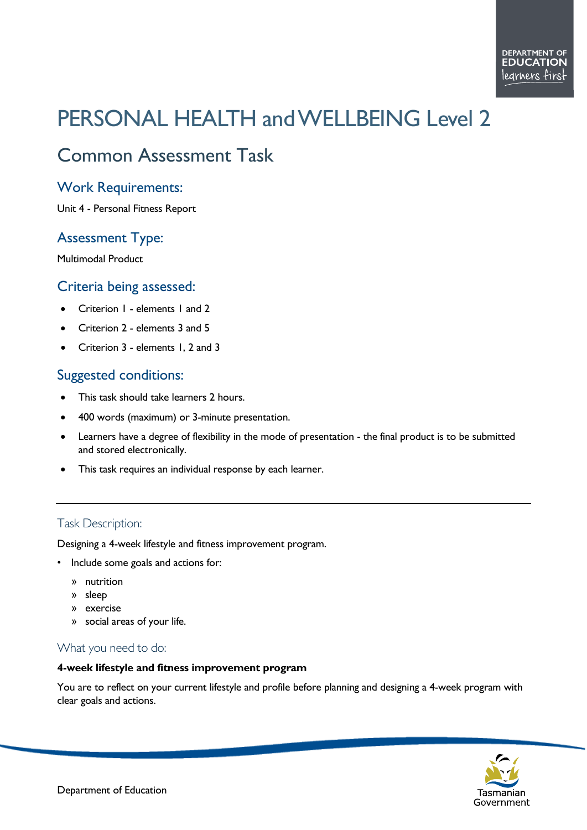# PERSONAL HEALTH and WELLBEING Level 2

# Common Assessment Task

# Work Requirements:

Unit 4 - Personal Fitness Report

# Assessment Type:

Multimodal Product

# Criteria being assessed:

- Criterion I elements I and 2
- Criterion 2 elements 3 and 5
- Criterion 3 elements 1, 2 and 3

# Suggested conditions:

- This task should take learners 2 hours.
- 400 words (maximum) or 3-minute presentation.
- Learners have a degree of flexibility in the mode of presentation the final product is to be submitted and stored electronically.
- This task requires an individual response by each learner.

#### Task Description:

Designing a 4-week lifestyle and fitness improvement program.

- Include some goals and actions for:
	- » nutrition
	- » sleep
	- » exercise
	- » social areas of your life.

#### What you need to do:

#### **4-week lifestyle and fitness improvement program**

You are to reflect on your current lifestyle and profile before planning and designing a 4-week program with clear goals and actions.